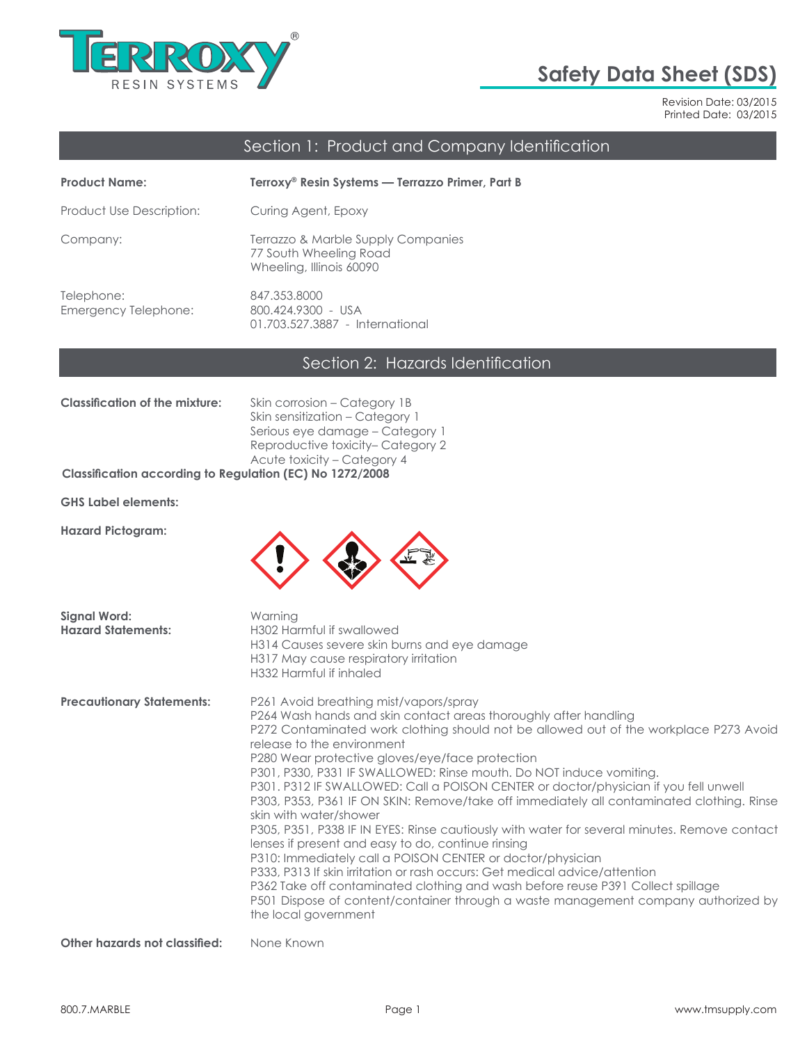

# **Safety Data Sheet (SDS)**

Revision Date: 03/2015 Printed Date: 03/2015

## Section 1: Product and Company Identification

| <b>Product Name:</b>               | Terroxy® Resin Systems — Terrazzo Primer, Part B                                         |
|------------------------------------|------------------------------------------------------------------------------------------|
| Product Use Description:           | Curing Agent, Epoxy                                                                      |
| Company:                           | Terrazzo & Marble Supply Companies<br>77 South Wheeling Road<br>Wheeling, Illinois 60090 |
| Telephone:<br>Emergency Telephone: | 847.353.8000<br>800.424.9300 - USA<br>01.703.527.3887 - International                    |

# Section 2: Hazards Identification

| Classification of the mixture: | Skin corrosion – Category 1B      |
|--------------------------------|-----------------------------------|
|                                | Skin sensitization – Category 1   |
|                                | Serious eye damage – Category 1   |
|                                | Reproductive toxicity– Category 2 |
|                                | Acute toxicity – Category 4       |
|                                |                                   |

#### **Classification according to Regulation (EC) No 1272/2008**

**GHS Label elements:**

**Hazard Pictogram:**



| <b>Signal Word:</b><br><b>Hazard Statements:</b> | Warning<br>H302 Harmful if swallowed<br>H314 Causes severe skin burns and eye damage<br>H317 May cause respiratory irritation<br>H332 Harmful if inhaled                                                                                                                                                                                                                                                                                                                                                                                                                                                                                                                                                                                                                                                                                                                                                                                                                                                                                                                      |
|--------------------------------------------------|-------------------------------------------------------------------------------------------------------------------------------------------------------------------------------------------------------------------------------------------------------------------------------------------------------------------------------------------------------------------------------------------------------------------------------------------------------------------------------------------------------------------------------------------------------------------------------------------------------------------------------------------------------------------------------------------------------------------------------------------------------------------------------------------------------------------------------------------------------------------------------------------------------------------------------------------------------------------------------------------------------------------------------------------------------------------------------|
| <b>Precautionary Statements:</b>                 | P261 Avoid breathing mist/vapors/spray<br>P264 Wash hands and skin contact areas thoroughly after handling<br>P272 Contaminated work clothing should not be allowed out of the workplace P273 Avoid<br>release to the environment<br>P280 Wear protective gloves/eye/face protection<br>P301, P330, P331 IF SWALLOWED: Rinse mouth. Do NOT induce vomiting.<br>P301. P312 IF SWALLOWED: Call a POISON CENTER or doctor/physician if you fell unwell<br>P303, P353, P361 IF ON SKIN: Remove/take off immediately all contaminated clothing. Rinse<br>skin with water/shower<br>P305, P351, P338 IF IN EYES: Rinse cautiously with water for several minutes. Remove contact<br>lenses if present and easy to do, continue rinsing<br>P310: Immediately call a POISON CENTER or doctor/physician<br>P333, P313 If skin irritation or rash occurs: Get medical advice/attention<br>P362 Take off contaminated clothing and wash before reuse P391 Collect spillage<br>P501 Dispose of content/container through a waste management company authorized by<br>the local government |
| Other hazards not classified:                    | None Known                                                                                                                                                                                                                                                                                                                                                                                                                                                                                                                                                                                                                                                                                                                                                                                                                                                                                                                                                                                                                                                                    |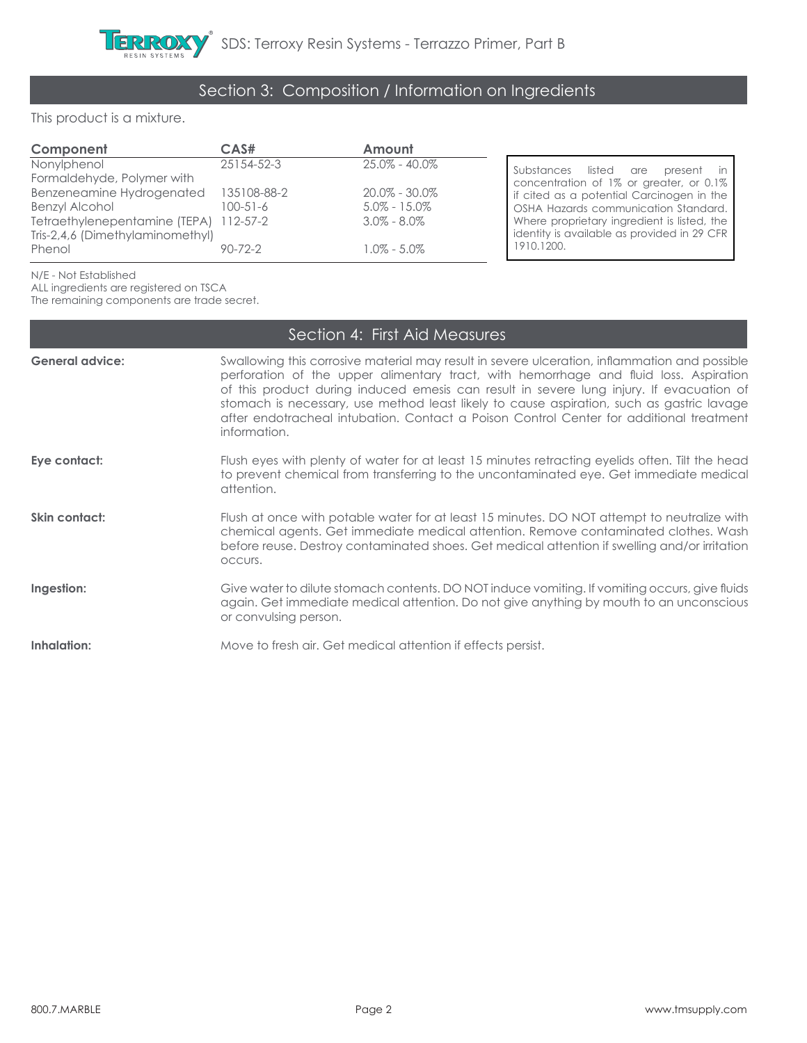# Section 3: Composition / Information on Ingredients

This product is a mixture.

| Component                                                              | CAS#                      | Amount                                   |                                                                                                                                  |
|------------------------------------------------------------------------|---------------------------|------------------------------------------|----------------------------------------------------------------------------------------------------------------------------------|
| Nonylphenol<br>Formaldehyde, Polymer with<br>Benzeneamine Hydrogenated | 25154-52-3<br>135108-88-2 | $25.0\% - 40.0\%$<br>$20.0\%$ - $30.0\%$ | Substances listed are present in<br>concentration of 1% or greater, or 0.1%                                                      |
| Benzyl Alcohol<br>Tetraethylenepentamine (TEPA) 112-57-2               | $100 - 51 - 6$            | $5.0\% - 15.0\%$<br>$3.0\% - 8.0\%$      | If cited as a potential Carcinogen in the<br>OSHA Hazards communication Standard.<br>Where proprietary ingredient is listed, the |
| Tris-2,4,6 (Dimethylaminomethyl)<br>Phenol                             | $90 - 72 - 2$             | $1.0\%$ - $5.0\%$                        | identity is available as provided in 29 CFR<br>1910.1200.                                                                        |
|                                                                        |                           |                                          |                                                                                                                                  |

N/E - Not Established

ALL ingredients are registered on TSCA

The remaining components are trade secret.

|                        | Section 4: First Aid Measures                                                                                                                                                                                                                                                                                                                                                                                                                                                              |
|------------------------|--------------------------------------------------------------------------------------------------------------------------------------------------------------------------------------------------------------------------------------------------------------------------------------------------------------------------------------------------------------------------------------------------------------------------------------------------------------------------------------------|
| <b>General advice:</b> | Swallowing this corrosive material may result in severe ulceration, inflammation and possible<br>perforation of the upper alimentary tract, with hemorrhage and fluid loss. Aspiration<br>of this product during induced emesis can result in severe lung injury. If evacuation of<br>stomach is necessary, use method least likely to cause aspiration, such as gastric lavage<br>after endotracheal intubation. Contact a Poison Control Center for additional treatment<br>information. |
| Eye contact:           | Flush eyes with plenty of water for at least 15 minutes retracting eyelids often. Tilt the head<br>to prevent chemical from transferring to the uncontaminated eye. Get immediate medical<br>attention.                                                                                                                                                                                                                                                                                    |
| Skin contact:          | Flush at once with potable water for at least 15 minutes. DO NOT attempt to neutralize with<br>chemical agents. Get immediate medical attention. Remove contaminated clothes. Wash<br>before reuse. Destroy contaminated shoes. Get medical attention if swelling and/or irritation<br>OCCUIS.                                                                                                                                                                                             |
| Ingestion:             | Give water to dilute stomach contents. DO NOT induce vomiting. If vomiting occurs, give fluids<br>again. Get immediate medical attention. Do not give anything by mouth to an unconscious<br>or convulsing person.                                                                                                                                                                                                                                                                         |
| Inhalation:            | Move to fresh air. Get medical attention if effects persist.                                                                                                                                                                                                                                                                                                                                                                                                                               |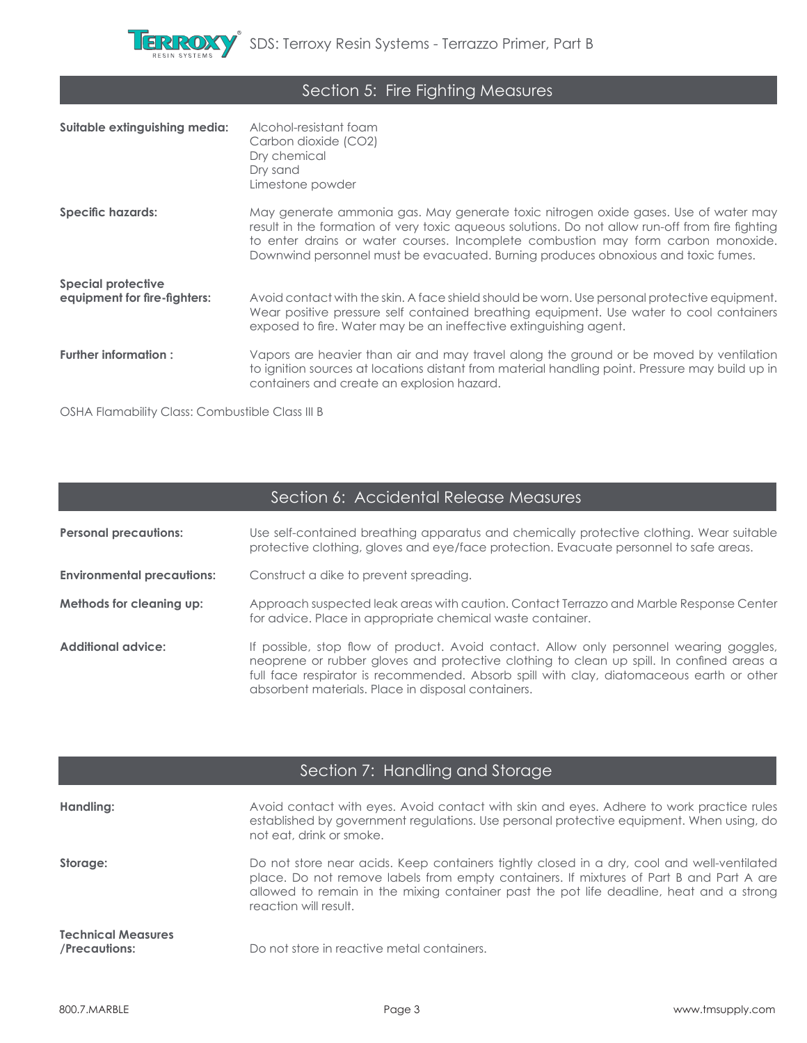

| Section 5: Fire Fighting Measures |  |
|-----------------------------------|--|
|-----------------------------------|--|

| Suitable extinguishing media:                             | Alcohol-resistant foam<br>Carbon dioxide (CO2)<br>Dry chemical<br>Dry sand<br>Limestone powder                                                                                                                                                                                                                                                                    |
|-----------------------------------------------------------|-------------------------------------------------------------------------------------------------------------------------------------------------------------------------------------------------------------------------------------------------------------------------------------------------------------------------------------------------------------------|
| Specific hazards:                                         | May generate ammonia gas. May generate toxic nitrogen oxide gases. Use of water may<br>result in the formation of very toxic aqueous solutions. Do not allow run-off from fire fighting<br>to enter drains or water courses. Incomplete combustion may form carbon monoxide.<br>Downwind personnel must be evacuated. Burning produces obnoxious and toxic fumes. |
| <b>Special protective</b><br>equipment for fire-fighters: | Avoid contact with the skin. A face shield should be worn. Use personal protective equipment.<br>Wear positive pressure self contained breathing equipment. Use water to cool containers<br>exposed to fire. Water may be an ineffective extinguishing agent.                                                                                                     |
| Further information:                                      | Vapors are heavier than air and may travel along the ground or be moved by ventilation<br>to ignition sources at locations distant from material handling point. Pressure may build up in<br>containers and create an explosion hazard.                                                                                                                           |

OSHA Flamability Class: Combustible Class III B

| Section 6: Accidental Release Measures |                                                                                                                                                                                                                                                                                                                                       |  |
|----------------------------------------|---------------------------------------------------------------------------------------------------------------------------------------------------------------------------------------------------------------------------------------------------------------------------------------------------------------------------------------|--|
| <b>Personal precautions:</b>           | Use self-contained breathing apparatus and chemically protective clothing. Wear suitable<br>protective clothing, gloves and eye/face protection. Evacuate personnel to safe areas.                                                                                                                                                    |  |
| <b>Environmental precautions:</b>      | Construct a dike to prevent spreading.                                                                                                                                                                                                                                                                                                |  |
| Methods for cleaning up:               | Approach suspected leak areas with caution. Contact Terrazzo and Marble Response Center<br>for advice. Place in appropriate chemical waste container.                                                                                                                                                                                 |  |
| <b>Additional advice:</b>              | If possible, stop flow of product. Avoid contact. Allow only personnel wearing goggles,<br>neoprene or rubber gloves and protective clothing to clean up spill. In confined areas a<br>full face respirator is recommended. Absorb spill with clay, diatomaceous earth or other<br>absorbent materials. Place in disposal containers. |  |

|                                            | Section 7: Handling and Storage                                                                                                                                                                                                                                                                           |
|--------------------------------------------|-----------------------------------------------------------------------------------------------------------------------------------------------------------------------------------------------------------------------------------------------------------------------------------------------------------|
| Handling:                                  | Avoid contact with eyes. Avoid contact with skin and eyes. Adhere to work practice rules<br>established by government regulations. Use personal protective equipment. When using, do<br>not eat, drink or smoke.                                                                                          |
| Storage:                                   | Do not store near acids. Keep containers tightly closed in a dry, cool and well-ventilated<br>place. Do not remove labels from empty containers. If mixtures of Part B and Part A are<br>allowed to remain in the mixing container past the pot life deadline, heat and a strong<br>reaction will result. |
| <b>Technical Measures</b><br>/Precautions: | Do not store in reactive metal containers.                                                                                                                                                                                                                                                                |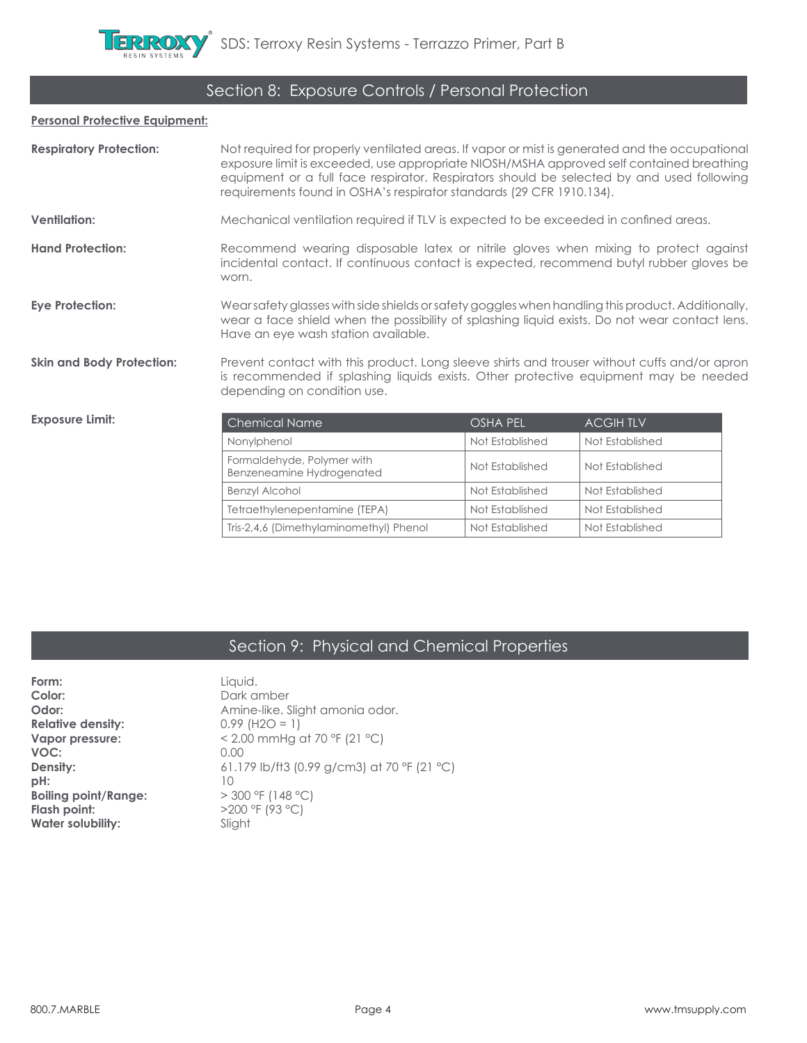# Section 8: Exposure Controls / Personal Protection

#### **Personal Protective Equipment:**

| <b>Respiratory Protection:</b>   | Not required for properly ventilated areas. If vapor or mist is generated and the occupational<br>exposure limit is exceeded, use appropriate NIOSH/MSHA approved self contained breathing<br>equipment or a full face respirator. Respirators should be selected by and used following<br>requirements found in OSHA's respirator standards (29 CFR 1910.134). |                                                                                      |                 |  |
|----------------------------------|-----------------------------------------------------------------------------------------------------------------------------------------------------------------------------------------------------------------------------------------------------------------------------------------------------------------------------------------------------------------|--------------------------------------------------------------------------------------|-----------------|--|
| <b>Ventilation:</b>              |                                                                                                                                                                                                                                                                                                                                                                 | Mechanical ventilation required if TLV is expected to be exceeded in confined areas. |                 |  |
| <b>Hand Protection:</b>          | Recommend wearing disposable latex or nitrile gloves when mixing to protect against<br>incidental contact. If continuous contact is expected, recommend butyl rubber gloves be<br>worn.                                                                                                                                                                         |                                                                                      |                 |  |
| <b>Eye Protection:</b>           | Wearsafety glasses with side shields or safety goggles when handling this product. Additionally,<br>wear a face shield when the possibility of splashing liquid exists. Do not wear contact lens.<br>Have an eye wash station available.                                                                                                                        |                                                                                      |                 |  |
| <b>Skin and Body Protection:</b> | Prevent contact with this product. Long sleeve shirts and trouser without cuffs and/or apron<br>is recommended if splashing liquids exists. Other protective equipment may be needed<br>depending on condition use.                                                                                                                                             |                                                                                      |                 |  |
| <b>Exposure Limit:</b>           | <b>Chemical Name</b>                                                                                                                                                                                                                                                                                                                                            | OSHA PEL                                                                             | <b>ACGIHTLV</b> |  |
|                                  | Nonylphenol                                                                                                                                                                                                                                                                                                                                                     | Not Established                                                                      | Not Established |  |
|                                  | Formaldehyde, Polymer with<br>Benzeneamine Hydrogenated                                                                                                                                                                                                                                                                                                         | Not Established                                                                      | Not Established |  |
|                                  | <b>Benzyl Alcohol</b>                                                                                                                                                                                                                                                                                                                                           | Not Established                                                                      | Not Established |  |
|                                  | Tetraethylenepentamine (TEPA)                                                                                                                                                                                                                                                                                                                                   | Not Established                                                                      | Not Established |  |
|                                  | Tris-2,4,6 (Dimethylaminomethyl) Phenol                                                                                                                                                                                                                                                                                                                         | Not Established                                                                      | Not Established |  |

# Section 9: Physical and Chemical Properties

| Form:                       | Liquid.                                     |
|-----------------------------|---------------------------------------------|
| Color:                      | Dark amber                                  |
| Odor:                       | Amine-like. Slight amonia odor.             |
| <b>Relative density:</b>    | $0.99$ (H2O = 1)                            |
| Vapor pressure:             | < 2.00 mmHg at 70 °F (21 °C)                |
| VOC:                        | 0.00                                        |
| Density:                    | 61.179 lb/ft3 (0.99 g/cm3) at 70 °F (21 °C) |
| pH:                         | 10                                          |
| <b>Boiling point/Range:</b> | $>$ 300 °F (148 °C)                         |
| Flash point:                | >200 °F (93 °C)                             |
| <b>Water solubility:</b>    | Slight                                      |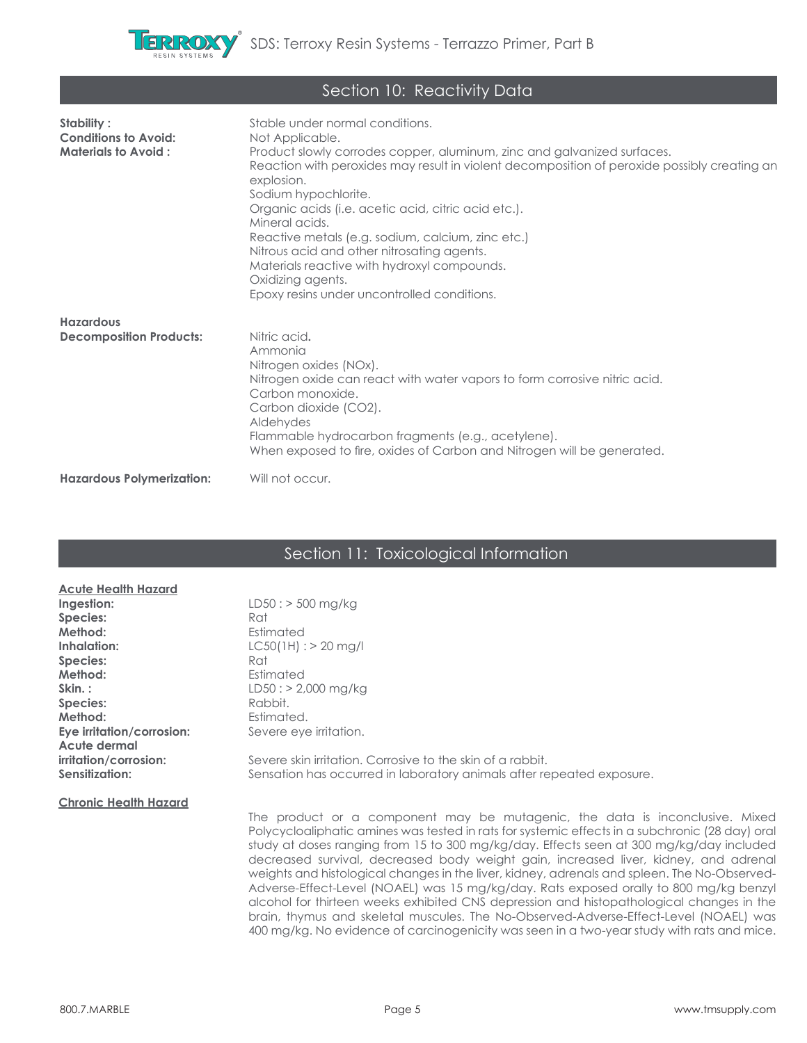

| Section 10: Reactivity Data                                             |                                                                                                                                                                                                                                                                                                                                                                                                                                                                                                                                                                    |  |
|-------------------------------------------------------------------------|--------------------------------------------------------------------------------------------------------------------------------------------------------------------------------------------------------------------------------------------------------------------------------------------------------------------------------------------------------------------------------------------------------------------------------------------------------------------------------------------------------------------------------------------------------------------|--|
| Stability:<br><b>Conditions to Avoid:</b><br><b>Materials to Avoid:</b> | Stable under normal conditions.<br>Not Applicable.<br>Product slowly corrodes copper, aluminum, zinc and galvanized surfaces.<br>Reaction with peroxides may result in violent decomposition of peroxide possibly creating an<br>explosion.<br>Sodium hypochlorite.<br>Organic acids (i.e. acetic acid, citric acid etc.).<br>Mineral acids.<br>Reactive metals (e.g. sodium, calcium, zinc etc.)<br>Nitrous acid and other nitrosating agents.<br>Materials reactive with hydroxyl compounds.<br>Oxidizing agents.<br>Epoxy resins under uncontrolled conditions. |  |
| <b>Hazardous</b><br><b>Decomposition Products:</b>                      | Nitric acid.<br>Ammonia<br>Nitrogen oxides (NOx).<br>Nitrogen oxide can react with water vapors to form corrosive nitric acid.<br>Carbon monoxide.<br>Carbon dioxide (CO2).<br>Aldehydes<br>Flammable hydrocarbon fragments (e.g., acetylene).<br>When exposed to fire, oxides of Carbon and Nitrogen will be generated.                                                                                                                                                                                                                                           |  |
| <b>Hazardous Polymerization:</b>                                        | Will not occur.                                                                                                                                                                                                                                                                                                                                                                                                                                                                                                                                                    |  |

# Section 11: Toxicological Information

| <b>Acute Health Hazard</b>   |                                                                                                                                                                                                                                                                                                                                                                                                                                                                                                                                                                                                                                                                                                                                                                                                                                                 |
|------------------------------|-------------------------------------------------------------------------------------------------------------------------------------------------------------------------------------------------------------------------------------------------------------------------------------------------------------------------------------------------------------------------------------------------------------------------------------------------------------------------------------------------------------------------------------------------------------------------------------------------------------------------------------------------------------------------------------------------------------------------------------------------------------------------------------------------------------------------------------------------|
| Ingestion:                   | $LD50: > 500$ mg/kg                                                                                                                                                                                                                                                                                                                                                                                                                                                                                                                                                                                                                                                                                                                                                                                                                             |
| Species:                     | Rat                                                                                                                                                                                                                                                                                                                                                                                                                                                                                                                                                                                                                                                                                                                                                                                                                                             |
| Method:                      | Estimated                                                                                                                                                                                                                                                                                                                                                                                                                                                                                                                                                                                                                                                                                                                                                                                                                                       |
| Inhalation:                  | $LC50(1H):$ > 20 mg/l                                                                                                                                                                                                                                                                                                                                                                                                                                                                                                                                                                                                                                                                                                                                                                                                                           |
| Species:                     | Rat                                                                                                                                                                                                                                                                                                                                                                                                                                                                                                                                                                                                                                                                                                                                                                                                                                             |
| Method:                      | Estimated                                                                                                                                                                                                                                                                                                                                                                                                                                                                                                                                                                                                                                                                                                                                                                                                                                       |
| Skin.:                       | $LD50: > 2,000 \text{ mg/kg}$                                                                                                                                                                                                                                                                                                                                                                                                                                                                                                                                                                                                                                                                                                                                                                                                                   |
| Species:                     | Rabbit.                                                                                                                                                                                                                                                                                                                                                                                                                                                                                                                                                                                                                                                                                                                                                                                                                                         |
| Method:                      | Estimated.                                                                                                                                                                                                                                                                                                                                                                                                                                                                                                                                                                                                                                                                                                                                                                                                                                      |
| Eye irritation/corrosion:    | Severe eye irritation.                                                                                                                                                                                                                                                                                                                                                                                                                                                                                                                                                                                                                                                                                                                                                                                                                          |
| Acute dermal                 |                                                                                                                                                                                                                                                                                                                                                                                                                                                                                                                                                                                                                                                                                                                                                                                                                                                 |
| irritation/corrosion:        | Severe skin irritation. Corrosive to the skin of a rabbit.                                                                                                                                                                                                                                                                                                                                                                                                                                                                                                                                                                                                                                                                                                                                                                                      |
| Sensitization:               | Sensation has occurred in laboratory animals after repeated exposure.                                                                                                                                                                                                                                                                                                                                                                                                                                                                                                                                                                                                                                                                                                                                                                           |
|                              |                                                                                                                                                                                                                                                                                                                                                                                                                                                                                                                                                                                                                                                                                                                                                                                                                                                 |
| <b>Chronic Health Hazard</b> |                                                                                                                                                                                                                                                                                                                                                                                                                                                                                                                                                                                                                                                                                                                                                                                                                                                 |
|                              | The product or a component may be mutagenic, the data is inconclusive. Mixed<br>Polycycloaliphatic amines was tested in rats for systemic effects in a subchronic (28 day) oral<br>study at doses ranging from 15 to 300 mg/kg/day. Effects seen at 300 mg/kg/day included<br>decreased survival, decreased body weight gain, increased liver, kidney, and adrenal<br>weights and histological changes in the liver, kidney, adrenals and spleen. The No-Observed-<br>Adverse-Effect-Level (NOAEL) was 15 mg/kg/day. Rats exposed orally to 800 mg/kg benzyl<br>alcohol for thirteen weeks exhibited CNS depression and histopathological changes in the<br>brain, thymus and skeletal muscules. The No-Observed-Adverse-Effect-Level (NOAEL) was<br>400 mg/kg. No evidence of carcinogenicity was seen in a two-year study with rats and mice. |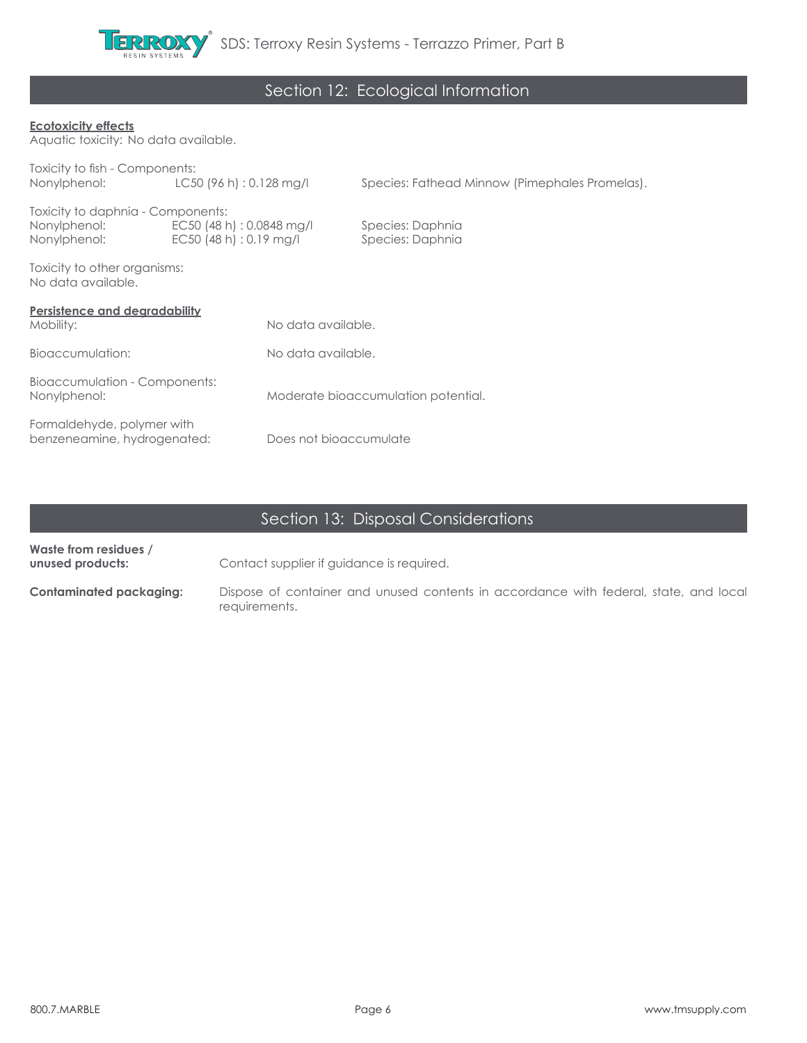

# Section 12: Ecological Information

### **Ecotoxicity effects**

Aquatic toxicity: No data available.

| Toxicity to fish - Components:                            |                           |                                     |                                                |  |
|-----------------------------------------------------------|---------------------------|-------------------------------------|------------------------------------------------|--|
| Nonylphenol:                                              | LC50 (96 h) : 0.128 mg/l  |                                     | Species: Fathead Minnow (Pimephales Promelas). |  |
| Toxicity to daphnia - Components:                         |                           |                                     |                                                |  |
| Nonylphenol:                                              | EC50 (48 h) : 0.0848 mg/l |                                     | Species: Daphnia                               |  |
| Nonylphenol:                                              | EC50(48 h): 0.19 mg/l     |                                     | Species: Daphnia                               |  |
| Toxicity to other organisms:<br>No data available.        |                           |                                     |                                                |  |
| <b>Persistence and degradability</b>                      |                           |                                     |                                                |  |
| Mobility:                                                 |                           | No data available.                  |                                                |  |
| Bioaccumulation:                                          |                           | No data available.                  |                                                |  |
| Bioaccumulation - Components:                             |                           |                                     |                                                |  |
| Nonylphenol:                                              |                           | Moderate bioaccumulation potential. |                                                |  |
|                                                           |                           |                                     |                                                |  |
| Formaldehyde, polymer with<br>benzeneamine, hydrogenated: |                           | Does not bioaccumulate              |                                                |  |
|                                                           |                           |                                     |                                                |  |

# Section 13: Disposal Considerations

| Waste from residues /<br>unused products: | Contact supplier if guidance is required.                                                              |
|-------------------------------------------|--------------------------------------------------------------------------------------------------------|
| Contaminated packaging:                   | Dispose of container and unused contents in accordance with federal, state, and local<br>requirements. |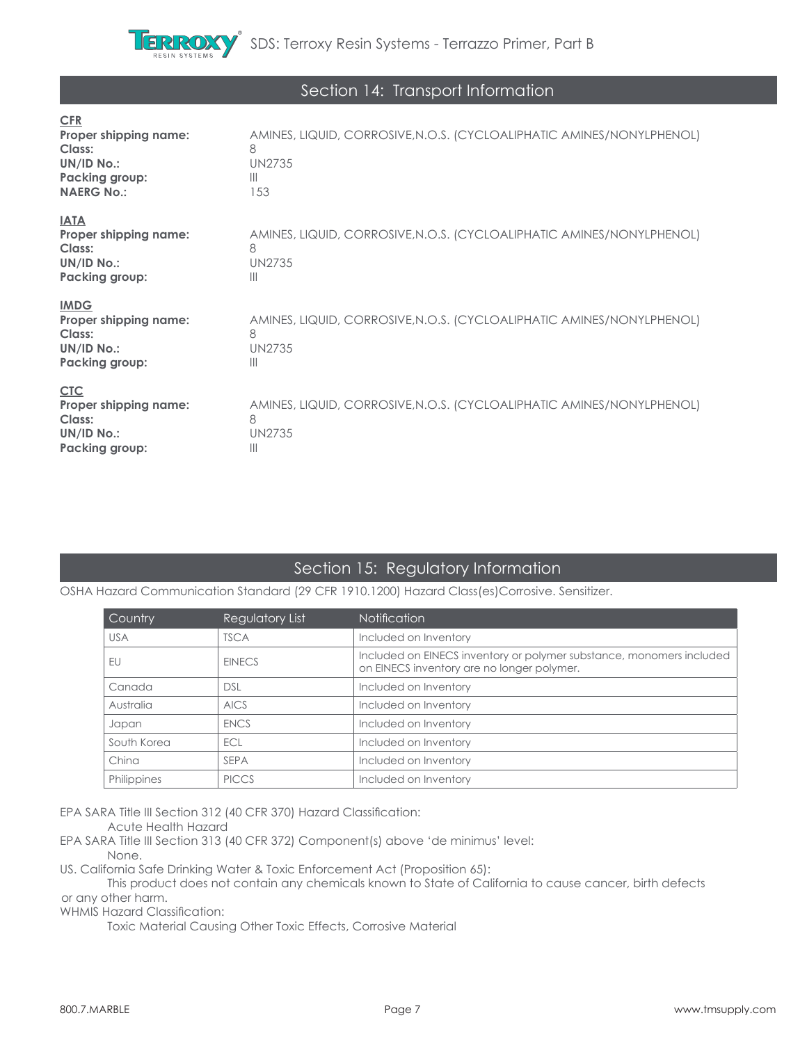

## Section 14: Transport Information

| <b>CFR</b><br>Proper shipping name:<br>Class:<br>UN/ID No.:<br>Packing group:<br><b>NAERG No.:</b> | AMINES, LIQUID, CORROSIVE, N.O.S. (CYCLOALIPHATIC AMINES/NONYLPHENOL)<br>8<br><b>UN2735</b><br>$\mathbb{H}$<br>153 |
|----------------------------------------------------------------------------------------------------|--------------------------------------------------------------------------------------------------------------------|
| <b>IATA</b><br>Proper shipping name:<br>Class:<br>UN/ID No.:<br><b>Packing group:</b>              | AMINES, LIQUID, CORROSIVE, N.O.S. (CYCLOALIPHATIC AMINES/NONYLPHENOL)<br>8<br><b>UN2735</b><br>$\mathbb{H}$        |
| <b>IMDG</b><br>Proper shipping name:<br>Class:<br>UN/ID No.:<br><b>Packing group:</b>              | AMINES, LIQUID, CORROSIVE, N.O.S. (CYCLOALIPHATIC AMINES/NONYLPHENOL)<br>8<br><b>UN2735</b><br>$\mathbb{H}$        |
| <b>CTC</b><br>Proper shipping name:<br>Class:<br>UN/ID No.:<br><b>Packing group:</b>               | AMINES, LIQUID, CORROSIVE, N.O.S. (CYCLOALIPHATIC AMINES/NONYLPHENOL)<br>8<br><b>UN2735</b><br>$\mathbb{H}$        |

## Section 15: Regulatory Information

OSHA Hazard Communication Standard (29 CFR 1910.1200) Hazard Class(es)Corrosive. Sensitizer.

| Country     | Regulatory List | <b>Notification</b>                                                                                                |
|-------------|-----------------|--------------------------------------------------------------------------------------------------------------------|
| <b>USA</b>  | <b>TSCA</b>     | Included on Inventory                                                                                              |
| EU          | <b>EINECS</b>   | Included on EINECS inventory or polymer substance, monomers included<br>on EINECS inventory are no longer polymer. |
| Canada      | <b>DSL</b>      | Included on Inventory                                                                                              |
| Australia   | <b>AICS</b>     | Included on Inventory                                                                                              |
| Japan       | <b>ENCS</b>     | Included on Inventory                                                                                              |
| South Korea | ECL             | Included on Inventory                                                                                              |
| China       | <b>SEPA</b>     | Included on Inventory                                                                                              |
| Philippines | <b>PICCS</b>    | Included on Inventory                                                                                              |

EPA SARA Title III Section 312 (40 CFR 370) Hazard Classification:

Acute Health Hazard

EPA SARA Title III Section 313 (40 CFR 372) Component(s) above 'de minimus' level: None.

US. California Safe Drinking Water & Toxic Enforcement Act (Proposition 65):

 This product does not contain any chemicals known to State of California to cause cancer, birth defects or any other harm.

WHMIS Hazard Classification:

Toxic Material Causing Other Toxic Effects, Corrosive Material